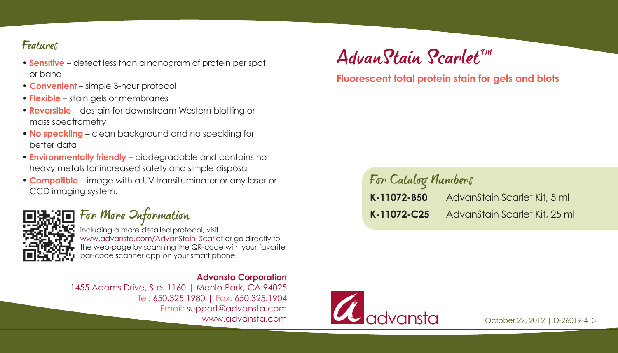- or band
- **Convenient** simple 3-hour protocol
- **Flexible** stain gels or membranes
- **Reversible** destain for downstream Western blotting or mass spectrometry
- **No speckling** clean background and no speckling for better data
- **Environmentally friendly** biodegradable and contains no heavy metals for increased safety and simple disposal
- **Compatible** image with a UV transilluminator or any laser or CCD imaging system.



# For More Information

including a more detailed protocol, visit www.advansta.com/AdvanStain\_Scarlet or go directly to the web-page by scanning the QR-code with your favorite bar-code scanner app on your smart phone.

#### **Advansta Corporation**

1455 Adams Drive, Ste. 1160 | Menlo Park, CA 94025 Tel: 650.325.1980 | Fax: 650.325.1904 Email: support@advansta.com www.advansta.com

# Features<br>• Sensitive – detect less than a nanogram of protein per spot **Advan Stain Scarlet** T<sup>in</sup>

### **Fluorescent total protein stain for gels and blots**

# For Catalog Numbers **K-11072-B50** AdvanStain Scarlet Kit, 5 ml **K-11072-C25** AdvanStain Scarlet Kit, 25 ml



October 22, 2012 | D-26019-413